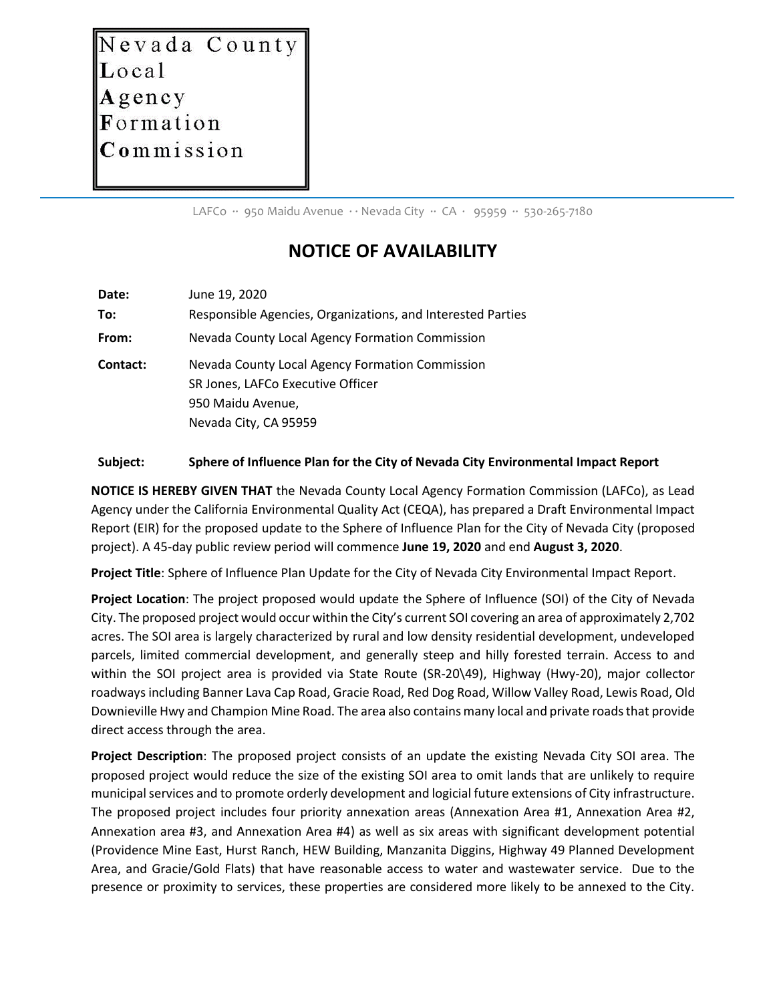Nevada County Local Agency Formation Commission

LAFCo ∙∙ 950 Maidu Avenue ∙ ∙ Nevada City ∙∙ CA ∙ 95959 ∙∙ 530-265-7180

## **NOTICE OF AVAILABILITY**

| Date:    | June 19, 2020                                                                                                                      |
|----------|------------------------------------------------------------------------------------------------------------------------------------|
| To:      | Responsible Agencies, Organizations, and Interested Parties                                                                        |
| From:    | Nevada County Local Agency Formation Commission                                                                                    |
| Contact: | Nevada County Local Agency Formation Commission<br>SR Jones, LAFCo Executive Officer<br>950 Maidu Avenue,<br>Nevada City, CA 95959 |

## **Subject: Sphere of Influence Plan for the City of Nevada City Environmental Impact Report**

**NOTICE IS HEREBY GIVEN THAT** the Nevada County Local Agency Formation Commission (LAFCo), as Lead Agency under the California Environmental Quality Act (CEQA), has prepared a Draft Environmental Impact Report (EIR) for the proposed update to the Sphere of Influence Plan for the City of Nevada City (proposed project). A 45-day public review period will commence **June 19, 2020** and end **August 3, 2020**.

**Project Title**: Sphere of Influence Plan Update for the City of Nevada City Environmental Impact Report.

**Project Location**: The project proposed would update the Sphere of Influence (SOI) of the City of Nevada City. The proposed project would occur within the City's current SOI covering an area of approximately 2,702 acres. The SOI area is largely characterized by rural and low density residential development, undeveloped parcels, limited commercial development, and generally steep and hilly forested terrain. Access to and within the SOI project area is provided via State Route (SR-20\49), Highway (Hwy-20), major collector roadways including Banner Lava Cap Road, Gracie Road, Red Dog Road, Willow Valley Road, Lewis Road, Old Downieville Hwy and Champion Mine Road. The area also contains many local and private roads that provide direct access through the area.

**Project Description**: The proposed project consists of an update the existing Nevada City SOI area. The proposed project would reduce the size of the existing SOI area to omit lands that are unlikely to require municipal services and to promote orderly development and logicial future extensions of City infrastructure. The proposed project includes four priority annexation areas (Annexation Area #1, Annexation Area #2, Annexation area #3, and Annexation Area #4) as well as six areas with significant development potential (Providence Mine East, Hurst Ranch, HEW Building, Manzanita Diggins, Highway 49 Planned Development Area, and Gracie/Gold Flats) that have reasonable access to water and wastewater service. Due to the presence or proximity to services, these properties are considered more likely to be annexed to the City.